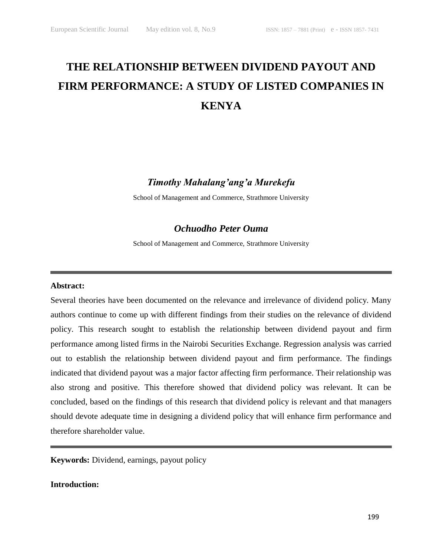# **THE RELATIONSHIP BETWEEN DIVIDEND PAYOUT AND FIRM PERFORMANCE: A STUDY OF LISTED COMPANIES IN KENYA**

*Timothy Mahalang'ang'a Murekefu*

School of Management and Commerce, Strathmore University

# *Ochuodho Peter Ouma*

School of Management and Commerce, Strathmore University

# **Abstract:**

Several theories have been documented on the relevance and irrelevance of dividend policy. Many authors continue to come up with different findings from their studies on the relevance of dividend policy. This research sought to establish the relationship between dividend payout and firm performance among listed firms in the Nairobi Securities Exchange. Regression analysis was carried out to establish the relationship between dividend payout and firm performance. The findings indicated that dividend payout was a major factor affecting firm performance. Their relationship was also strong and positive. This therefore showed that dividend policy was relevant. It can be concluded, based on the findings of this research that dividend policy is relevant and that managers should devote adequate time in designing a dividend policy that will enhance firm performance and therefore shareholder value.

**Keywords:** Dividend, earnings, payout policy

# **Introduction:**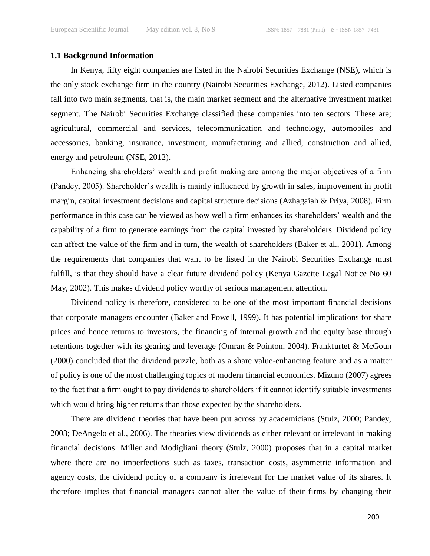# **1.1 Background Information**

In Kenya, fifty eight companies are listed in the Nairobi Securities Exchange (NSE), which is the only stock exchange firm in the country (Nairobi Securities Exchange, 2012). Listed companies fall into two main segments, that is, the main market segment and the alternative investment market segment. The Nairobi Securities Exchange classified these companies into ten sectors. These are; agricultural, commercial and services, telecommunication and technology, automobiles and accessories, banking, insurance, investment, manufacturing and allied, construction and allied, energy and petroleum (NSE, 2012).

Enhancing shareholders' wealth and profit making are among the major objectives of a firm (Pandey, 2005). Shareholder's wealth is mainly influenced by growth in sales, improvement in profit margin, capital investment decisions and capital structure decisions (Azhagaiah & Priya, 2008). Firm performance in this case can be viewed as how well a firm enhances its shareholders' wealth and the capability of a firm to generate earnings from the capital invested by shareholders. Dividend policy can affect the value of the firm and in turn, the wealth of shareholders (Baker et al., 2001). Among the requirements that companies that want to be listed in the Nairobi Securities Exchange must fulfill, is that they should have a clear future dividend policy (Kenya Gazette Legal Notice No 60 May, 2002). This makes dividend policy worthy of serious management attention.

Dividend policy is therefore, considered to be one of the most important financial decisions that corporate managers encounter (Baker and Powell, 1999). It has potential implications for share prices and hence returns to investors, the financing of internal growth and the equity base through retentions together with its gearing and leverage (Omran & Pointon, 2004). Frankfurtet & McGoun (2000) concluded that the dividend puzzle, both as a share value-enhancing feature and as a matter of policy is one of the most challenging topics of modern financial economics. Mizuno (2007) agrees to the fact that a firm ought to pay dividends to shareholders if it cannot identify suitable investments which would bring higher returns than those expected by the shareholders.

There are dividend theories that have been put across by academicians (Stulz, 2000; Pandey, 2003; DeAngelo et al., 2006). The theories view dividends as either relevant or irrelevant in making financial decisions. Miller and Modigliani theory (Stulz, 2000) proposes that in a capital market where there are no imperfections such as taxes, transaction costs, asymmetric information and agency costs, the dividend policy of a company is irrelevant for the market value of its shares. It therefore implies that financial managers cannot alter the value of their firms by changing their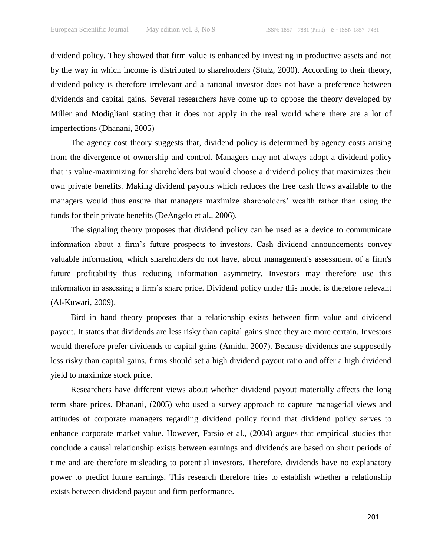dividend policy. They showed that firm value is enhanced by investing in productive assets and not by the way in which income is distributed to shareholders (Stulz, 2000). According to their theory, dividend policy is therefore irrelevant and a rational investor does not have a preference between dividends and capital gains. Several researchers have come up to oppose the theory developed by Miller and Modigliani stating that it does not apply in the real world where there are a lot of imperfections (Dhanani, 2005)

The agency cost theory suggests that, dividend policy is determined by agency costs arising from the divergence of ownership and control. Managers may not always adopt a dividend policy that is value-maximizing for shareholders but would choose a dividend policy that maximizes their own private benefits. Making dividend payouts which reduces the free cash flows available to the managers would thus ensure that managers maximize shareholders' wealth rather than using the funds for their private benefits (DeAngelo et al., 2006).

The signaling theory proposes that dividend policy can be used as a device to communicate information about a firm's future prospects to investors. Cash dividend announcements convey valuable information, which shareholders do not have, about management's assessment of a firm's future profitability thus reducing information asymmetry. Investors may therefore use this information in assessing a firm's share price. Dividend policy under this model is therefore relevant (Al-Kuwari, 2009).

Bird in hand theory proposes that a relationship exists between firm value and dividend payout. It states that dividends are less risky than capital gains since they are more certain. Investors would therefore prefer dividends to capital gains **(**Amidu, 2007). Because dividends are supposedly less risky than capital gains, firms should set a high dividend payout ratio and offer a high dividend yield to maximize stock price.

Researchers have different views about whether dividend payout materially affects the long term share prices. Dhanani, (2005) who used a survey approach to capture managerial views and attitudes of corporate managers regarding dividend policy found that dividend policy serves to enhance corporate market value. However, Farsio et al., (2004) argues that empirical studies that conclude a causal relationship exists between earnings and dividends are based on short periods of time and are therefore misleading to potential investors. Therefore, dividends have no explanatory power to predict future earnings. This research therefore tries to establish whether a relationship exists between dividend payout and firm performance.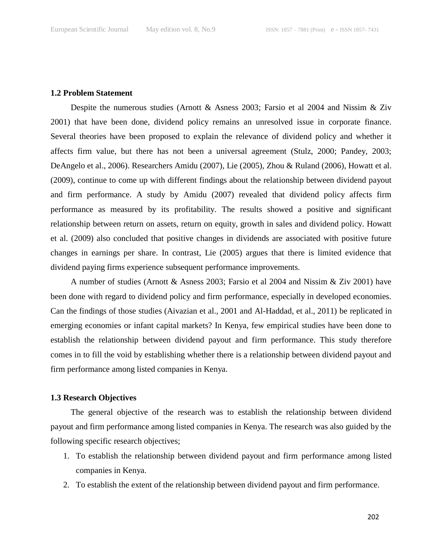#### **1.2 Problem Statement**

Despite the numerous studies (Arnott & Asness 2003; Farsio et al 2004 and Nissim & Ziv 2001) that have been done, dividend policy remains an unresolved issue in corporate finance. Several theories have been proposed to explain the relevance of dividend policy and whether it affects firm value, but there has not been a universal agreement (Stulz, 2000; Pandey, 2003; DeAngelo et al., 2006). Researchers Amidu (2007), Lie (2005), Zhou & Ruland (2006), Howatt et al. (2009), continue to come up with different findings about the relationship between dividend payout and firm performance. A study by Amidu (2007) revealed that dividend policy affects firm performance as measured by its profitability. The results showed a positive and significant relationship between return on assets, return on equity, growth in sales and dividend policy. Howatt et al. (2009) also concluded that positive changes in dividends are associated with positive future changes in earnings per share. In contrast, Lie (2005) argues that there is limited evidence that dividend paying firms experience subsequent performance improvements.

A number of studies (Arnott & Asness 2003; Farsio et al 2004 and Nissim & Ziv 2001) have been done with regard to dividend policy and firm performance, especially in developed economies. Can the findings of those studies (Aivazian et al., 2001 and Al-Haddad, et al., 2011) be replicated in emerging economies or infant capital markets? In Kenya, few empirical studies have been done to establish the relationship between dividend payout and firm performance. This study therefore comes in to fill the void by establishing whether there is a relationship between dividend payout and firm performance among listed companies in Kenya.

# **1.3 Research Objectives**

The general objective of the research was to establish the relationship between dividend payout and firm performance among listed companies in Kenya. The research was also guided by the following specific research objectives;

- 1. To establish the relationship between dividend payout and firm performance among listed companies in Kenya.
- 2. To establish the extent of the relationship between dividend payout and firm performance.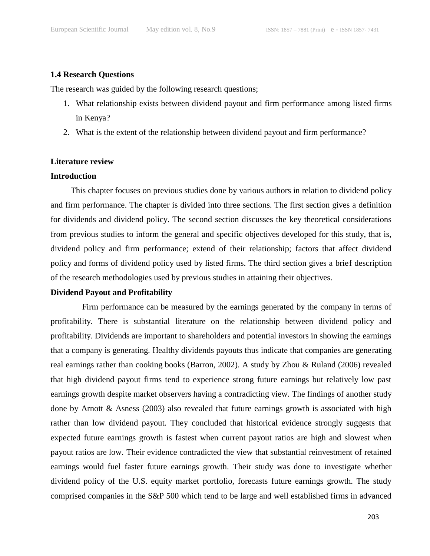# **1.4 Research Questions**

The research was guided by the following research questions;

- 1. What relationship exists between dividend payout and firm performance among listed firms in Kenya?
- 2. What is the extent of the relationship between dividend payout and firm performance?

# **Literature review**

#### **Introduction**

This chapter focuses on previous studies done by various authors in relation to dividend policy and firm performance. The chapter is divided into three sections. The first section gives a definition for dividends and dividend policy. The second section discusses the key theoretical considerations from previous studies to inform the general and specific objectives developed for this study, that is, dividend policy and firm performance; extend of their relationship; factors that affect dividend policy and forms of dividend policy used by listed firms. The third section gives a brief description of the research methodologies used by previous studies in attaining their objectives.

# **Dividend Payout and Profitability**

Firm performance can be measured by the earnings generated by the company in terms of profitability. There is substantial literature on the relationship between dividend policy and profitability. Dividends are important to shareholders and potential investors in showing the earnings that a company is generating. Healthy dividends payouts thus indicate that companies are generating real earnings rather than cooking books (Barron, 2002). A study by Zhou & Ruland (2006) revealed that high dividend payout firms tend to experience strong future earnings but relatively low past earnings growth despite market observers having a contradicting view. The findings of another study done by Arnott & Asness (2003) also revealed that future earnings growth is associated with high rather than low dividend payout. They concluded that historical evidence strongly suggests that expected future earnings growth is fastest when current payout ratios are high and slowest when payout ratios are low. Their evidence contradicted the view that substantial reinvestment of retained earnings would fuel faster future earnings growth. Their study was done to investigate whether dividend policy of the U.S. equity market portfolio, forecasts future earnings growth. The study comprised companies in the S&P 500 which tend to be large and well established firms in advanced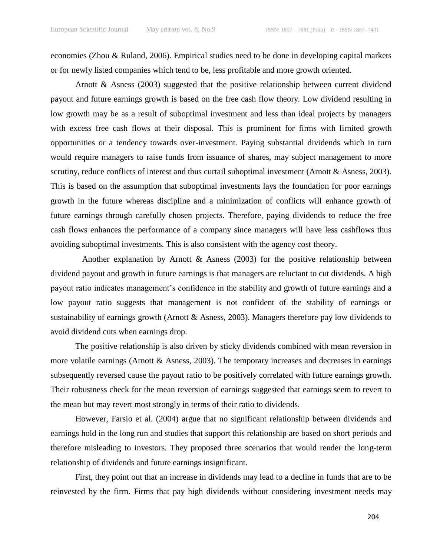economies (Zhou & Ruland, 2006). Empirical studies need to be done in developing capital markets or for newly listed companies which tend to be, less profitable and more growth oriented.

Arnott & Asness (2003) suggested that the positive relationship between current dividend payout and future earnings growth is based on the free cash flow theory. Low dividend resulting in low growth may be as a result of suboptimal investment and less than ideal projects by managers with excess free cash flows at their disposal. This is prominent for firms with limited growth opportunities or a tendency towards over-investment. Paying substantial dividends which in turn would require managers to raise funds from issuance of shares, may subject management to more scrutiny, reduce conflicts of interest and thus curtail suboptimal investment (Arnott & Asness, 2003). This is based on the assumption that suboptimal investments lays the foundation for poor earnings growth in the future whereas discipline and a minimization of conflicts will enhance growth of future earnings through carefully chosen projects. Therefore, paying dividends to reduce the free cash flows enhances the performance of a company since managers will have less cashflows thus avoiding suboptimal investments. This is also consistent with the agency cost theory.

Another explanation by Arnott  $\&$  Asness (2003) for the positive relationship between dividend payout and growth in future earnings is that managers are reluctant to cut dividends. A high payout ratio indicates management's confidence in the stability and growth of future earnings and a low payout ratio suggests that management is not confident of the stability of earnings or sustainability of earnings growth (Arnott & Asness, 2003). Managers therefore pay low dividends to avoid dividend cuts when earnings drop.

The positive relationship is also driven by sticky dividends combined with mean reversion in more volatile earnings (Arnott & Asness, 2003). The temporary increases and decreases in earnings subsequently reversed cause the payout ratio to be positively correlated with future earnings growth. Their robustness check for the mean reversion of earnings suggested that earnings seem to revert to the mean but may revert most strongly in terms of their ratio to dividends.

However, Farsio et al. (2004) argue that no significant relationship between dividends and earnings hold in the long run and studies that support this relationship are based on short periods and therefore misleading to investors. They proposed three scenarios that would render the long-term relationship of dividends and future earnings insignificant.

First, they point out that an increase in dividends may lead to a decline in funds that are to be reinvested by the firm. Firms that pay high dividends without considering investment needs may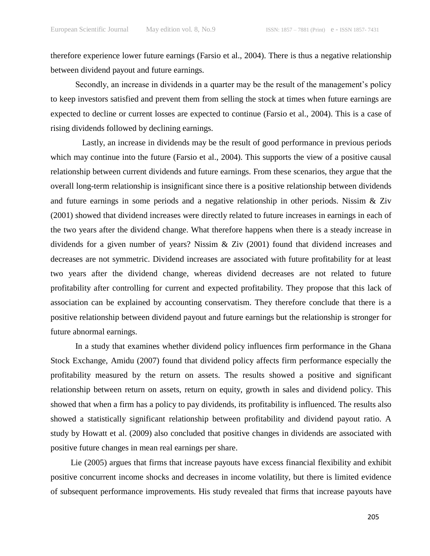therefore experience lower future earnings (Farsio et al., 2004). There is thus a negative relationship between dividend payout and future earnings.

Secondly, an increase in dividends in a quarter may be the result of the management's policy to keep investors satisfied and prevent them from selling the stock at times when future earnings are expected to decline or current losses are expected to continue (Farsio et al., 2004). This is a case of rising dividends followed by declining earnings.

Lastly, an increase in dividends may be the result of good performance in previous periods which may continue into the future (Farsio et al., 2004). This supports the view of a positive causal relationship between current dividends and future earnings. From these scenarios, they argue that the overall long-term relationship is insignificant since there is a positive relationship between dividends and future earnings in some periods and a negative relationship in other periods. Nissim & Ziv (2001) showed that dividend increases were directly related to future increases in earnings in each of the two years after the dividend change. What therefore happens when there is a steady increase in dividends for a given number of years? Nissim & Ziv (2001) found that dividend increases and decreases are not symmetric. Dividend increases are associated with future profitability for at least two years after the dividend change, whereas dividend decreases are not related to future profitability after controlling for current and expected profitability. They propose that this lack of association can be explained by accounting conservatism. They therefore conclude that there is a positive relationship between dividend payout and future earnings but the relationship is stronger for future abnormal earnings.

In a study that examines whether dividend policy influences firm performance in the Ghana Stock Exchange, Amidu (2007) found that dividend policy affects firm performance especially the profitability measured by the return on assets. The results showed a positive and significant relationship between return on assets, return on equity, growth in sales and dividend policy. This showed that when a firm has a policy to pay dividends, its profitability is influenced. The results also showed a statistically significant relationship between profitability and dividend payout ratio. A study by Howatt et al. (2009) also concluded that positive changes in dividends are associated with positive future changes in mean real earnings per share.

Lie (2005) argues that firms that increase payouts have excess financial flexibility and exhibit positive concurrent income shocks and decreases in income volatility, but there is limited evidence of subsequent performance improvements. His study revealed that firms that increase payouts have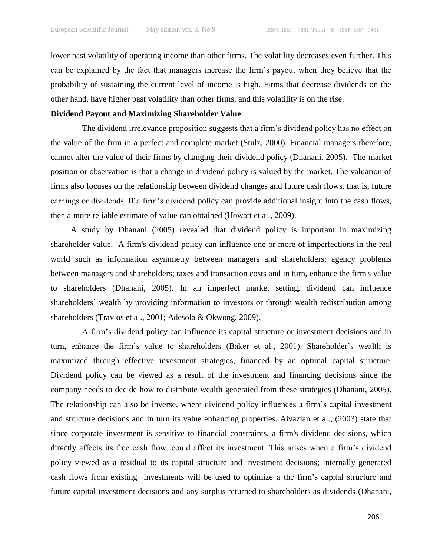lower past volatility of operating income than other firms. The volatility decreases even further. This can be explained by the fact that managers increase the firm's payout when they believe that the probability of sustaining the current level of income is high. Firms that decrease dividends on the other hand, have higher past volatility than other firms, and this volatility is on the rise.

# **Dividend Payout and Maximizing Shareholder Value**

The dividend irrelevance proposition suggests that a firm's dividend policy has no effect on the value of the firm in a perfect and complete market (Stulz, 2000). Financial managers therefore, cannot alter the value of their firms by changing their dividend policy (Dhanani, 2005). The market position or observation is that a change in dividend policy is valued by the market. The valuation of firms also focuses on the relationship between dividend changes and future cash flows, that is, future earnings or dividends. If a firm's dividend policy can provide additional insight into the cash flows, then a more reliable estimate of value can obtained (Howatt et al., 2009).

A study by Dhanani (2005) revealed that dividend policy is important in maximizing shareholder value. A firm's dividend policy can influence one or more of imperfections in the real world such as information asymmetry between managers and shareholders; agency problems between managers and shareholders; taxes and transaction costs and in turn, enhance the firm's value to shareholders (Dhanani, 2005). In an imperfect market setting, dividend can influence shareholders' wealth by providing information to investors or through wealth redistribution among shareholders (Travlos et al., 2001; Adesola & Okwong, 2009).

A firm's dividend policy can influence its capital structure or investment decisions and in turn, enhance the firm's value to shareholders (Baker et al., 2001). Shareholder's wealth is maximized through effective investment strategies, financed by an optimal capital structure. Dividend policy can be viewed as a result of the investment and financing decisions since the company needs to decide how to distribute wealth generated from these strategies (Dhanani, 2005). The relationship can also be inverse, where dividend policy influences a firm's capital investment and structure decisions and in turn its value enhancing properties. Aivazian et al., (2003) state that since corporate investment is sensitive to financial constraints, a firm's dividend decisions, which directly affects its free cash flow, could affect its investment. This arises when a firm's dividend policy viewed as a residual to its capital structure and investment decisions; internally generated cash flows from existing investments will be used to optimize a the firm's capital structure and future capital investment decisions and any surplus returned to shareholders as dividends (Dhanani,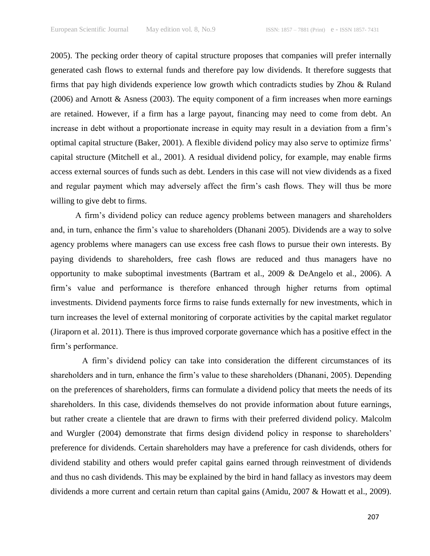2005). The pecking order theory of capital structure proposes that companies will prefer internally generated cash flows to external funds and therefore pay low dividends. It therefore suggests that firms that pay high dividends experience low growth which contradicts studies by Zhou & Ruland (2006) and Arnott & Asness (2003). The equity component of a firm increases when more earnings are retained. However, if a firm has a large payout, financing may need to come from debt. An increase in debt without a proportionate increase in equity may result in a deviation from a firm's optimal capital structure (Baker, 2001). A flexible dividend policy may also serve to optimize firms' capital structure (Mitchell et al., 2001). A residual dividend policy, for example, may enable firms access external sources of funds such as debt. Lenders in this case will not view dividends as a fixed and regular payment which may adversely affect the firm's cash flows. They will thus be more willing to give debt to firms.

A firm's dividend policy can reduce agency problems between managers and shareholders and, in turn, enhance the firm's value to shareholders (Dhanani 2005). Dividends are a way to solve agency problems where managers can use excess free cash flows to pursue their own interests. By paying dividends to shareholders, free cash flows are reduced and thus managers have no opportunity to make suboptimal investments (Bartram et al., 2009 & DeAngelo et al., 2006). A firm's value and performance is therefore enhanced through higher returns from optimal investments. Dividend payments force firms to raise funds externally for new investments, which in turn increases the level of external monitoring of corporate activities by the capital market regulator (Jiraporn et al. 2011). There is thus improved corporate governance which has a positive effect in the firm's performance.

A firm's dividend policy can take into consideration the different circumstances of its shareholders and in turn, enhance the firm's value to these shareholders (Dhanani, 2005). Depending on the preferences of shareholders, firms can formulate a dividend policy that meets the needs of its shareholders. In this case, dividends themselves do not provide information about future earnings, but rather create a clientele that are drawn to firms with their preferred dividend policy. Malcolm and Wurgler (2004) demonstrate that firms design dividend policy in response to shareholders' preference for dividends. Certain shareholders may have a preference for cash dividends, others for dividend stability and others would prefer capital gains earned through reinvestment of dividends and thus no cash dividends. This may be explained by the bird in hand fallacy as investors may deem dividends a more current and certain return than capital gains (Amidu, 2007 & Howatt et al., 2009).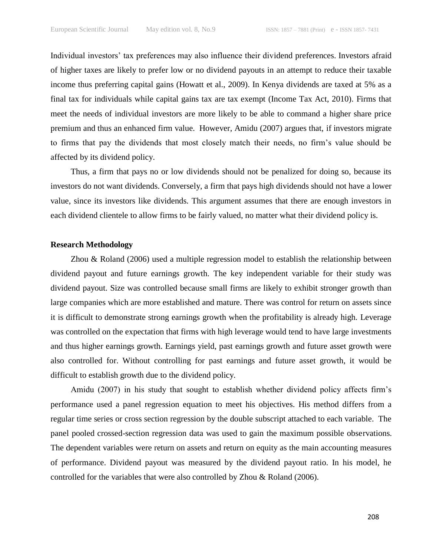Individual investors' tax preferences may also influence their dividend preferences. Investors afraid of higher taxes are likely to prefer low or no dividend payouts in an attempt to reduce their taxable income thus preferring capital gains (Howatt et al., 2009). In Kenya dividends are taxed at 5% as a final tax for individuals while capital gains tax are tax exempt (Income Tax Act, 2010). Firms that meet the needs of individual investors are more likely to be able to command a higher share price premium and thus an enhanced firm value. However, Amidu (2007) argues that, if investors migrate to firms that pay the dividends that most closely match their needs, no firm's value should be affected by its dividend policy.

Thus, a firm that pays no or low dividends should not be penalized for doing so, because its investors do not want dividends. Conversely, a firm that pays high dividends should not have a lower value, since its investors like dividends. This argument assumes that there are enough investors in each dividend clientele to allow firms to be fairly valued, no matter what their dividend policy is.

# **Research Methodology**

Zhou & Roland (2006) used a multiple regression model to establish the relationship between dividend payout and future earnings growth. The key independent variable for their study was dividend payout. Size was controlled because small firms are likely to exhibit stronger growth than large companies which are more established and mature. There was control for return on assets since it is difficult to demonstrate strong earnings growth when the profitability is already high. Leverage was controlled on the expectation that firms with high leverage would tend to have large investments and thus higher earnings growth. Earnings yield, past earnings growth and future asset growth were also controlled for. Without controlling for past earnings and future asset growth, it would be difficult to establish growth due to the dividend policy.

Amidu (2007) in his study that sought to establish whether dividend policy affects firm's performance used a panel regression equation to meet his objectives. His method differs from a regular time series or cross section regression by the double subscript attached to each variable. The panel pooled crossed-section regression data was used to gain the maximum possible observations. The dependent variables were return on assets and return on equity as the main accounting measures of performance. Dividend payout was measured by the dividend payout ratio. In his model, he controlled for the variables that were also controlled by Zhou & Roland (2006).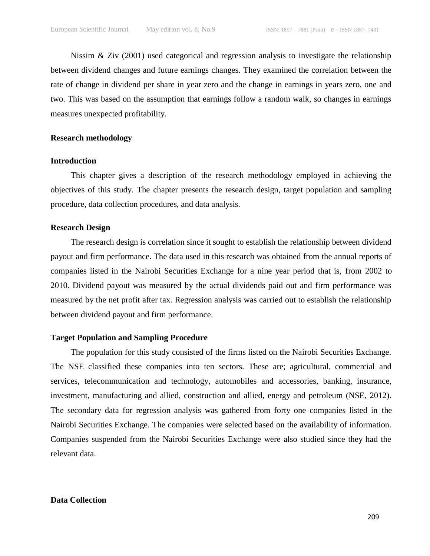Nissim & Ziv (2001) used categorical and regression analysis to investigate the relationship between dividend changes and future earnings changes. They examined the correlation between the rate of change in dividend per share in year zero and the change in earnings in years zero, one and two. This was based on the assumption that earnings follow a random walk, so changes in earnings measures unexpected profitability.

#### **Research methodology**

# **Introduction**

This chapter gives a description of the research methodology employed in achieving the objectives of this study. The chapter presents the research design, target population and sampling procedure, data collection procedures, and data analysis.

# **Research Design**

The research design is correlation since it sought to establish the relationship between dividend payout and firm performance. The data used in this research was obtained from the annual reports of companies listed in the Nairobi Securities Exchange for a nine year period that is, from 2002 to 2010. Dividend payout was measured by the actual dividends paid out and firm performance was measured by the net profit after tax. Regression analysis was carried out to establish the relationship between dividend payout and firm performance.

# **Target Population and Sampling Procedure**

The population for this study consisted of the firms listed on the Nairobi Securities Exchange. The NSE classified these companies into ten sectors. These are; agricultural, commercial and services, telecommunication and technology, automobiles and accessories, banking, insurance, investment, manufacturing and allied, construction and allied, energy and petroleum (NSE, 2012). The secondary data for regression analysis was gathered from forty one companies listed in the Nairobi Securities Exchange. The companies were selected based on the availability of information. Companies suspended from the Nairobi Securities Exchange were also studied since they had the relevant data.

# **Data Collection**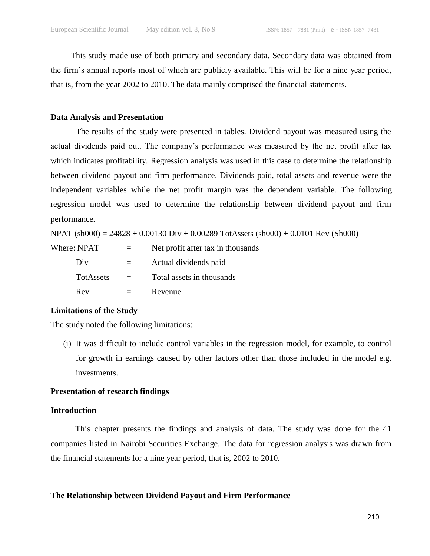This study made use of both primary and secondary data. Secondary data was obtained from the firm's annual reports most of which are publicly available. This will be for a nine year period, that is, from the year 2002 to 2010. The data mainly comprised the financial statements.

# **Data Analysis and Presentation**

The results of the study were presented in tables. Dividend payout was measured using the actual dividends paid out. The company's performance was measured by the net profit after tax which indicates profitability. Regression analysis was used in this case to determine the relationship between dividend payout and firm performance. Dividends paid, total assets and revenue were the independent variables while the net profit margin was the dependent variable. The following regression model was used to determine the relationship between dividend payout and firm performance.

NPAT (sh000) = 24828 + 0.00130 Div + 0.00289 TotAssets (sh000) + 0.0101 Rev (Sh000)

Where:  $NPATH =$  Net profit after tax in thousands Div = Actual dividends paid TotAssets = Total assets in thousands  $Rev = Revenue$ 

# **Limitations of the Study**

The study noted the following limitations:

(i) It was difficult to include control variables in the regression model, for example, to control for growth in earnings caused by other factors other than those included in the model e.g. investments.

# **Presentation of research findings**

#### **Introduction**

This chapter presents the findings and analysis of data. The study was done for the 41 companies listed in Nairobi Securities Exchange. The data for regression analysis was drawn from the financial statements for a nine year period, that is, 2002 to 2010.

**The Relationship between Dividend Payout and Firm Performance**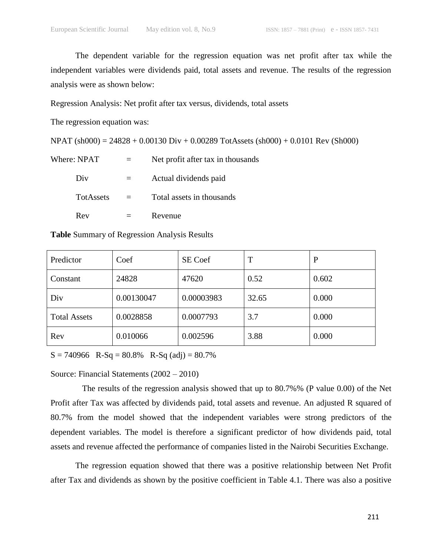The dependent variable for the regression equation was net profit after tax while the independent variables were dividends paid, total assets and revenue. The results of the regression analysis were as shown below:

Regression Analysis: Net profit after tax versus, dividends, total assets

The regression equation was:

NPAT (sh000) = 24828 + 0.00130 Div + 0.00289 TotAssets (sh000) + 0.0101 Rev (Sh000)

| Where: NPAT      | Net profit after tax in thousands |  |
|------------------|-----------------------------------|--|
| Div              | Actual dividends paid             |  |
| <b>TotAssets</b> | Total assets in thousands         |  |
| Rev              | Revenue                           |  |

**Table** Summary of Regression Analysis Results

| Predictor           | Coef       | SE Coef    | T     | P     |
|---------------------|------------|------------|-------|-------|
| Constant            | 24828      | 47620      | 0.52  | 0.602 |
| Div                 | 0.00130047 | 0.00003983 | 32.65 | 0.000 |
| <b>Total Assets</b> | 0.0028858  | 0.0007793  | 3.7   | 0.000 |
| Rev                 | 0.010066   | 0.002596   | 3.88  | 0.000 |

 $S = 740966$  R-Sq = 80.8% R-Sq (adj) = 80.7%

Source: Financial Statements (2002 – 2010)

The results of the regression analysis showed that up to 80.7%% (P value 0.00) of the Net Profit after Tax was affected by dividends paid, total assets and revenue. An adjusted R squared of 80.7% from the model showed that the independent variables were strong predictors of the dependent variables. The model is therefore a significant predictor of how dividends paid, total assets and revenue affected the performance of companies listed in the Nairobi Securities Exchange.

The regression equation showed that there was a positive relationship between Net Profit after Tax and dividends as shown by the positive coefficient in Table 4.1. There was also a positive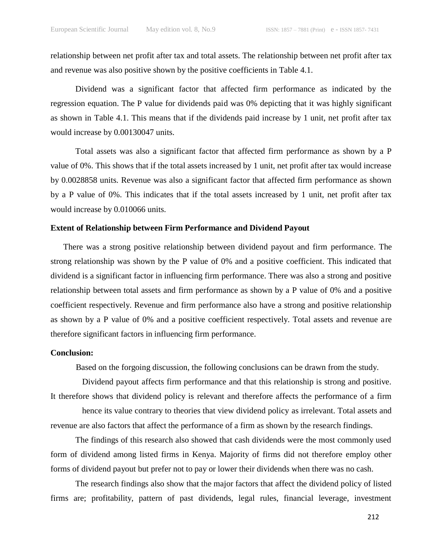relationship between net profit after tax and total assets. The relationship between net profit after tax and revenue was also positive shown by the positive coefficients in Table 4.1.

Dividend was a significant factor that affected firm performance as indicated by the regression equation. The P value for dividends paid was 0% depicting that it was highly significant as shown in Table 4.1. This means that if the dividends paid increase by 1 unit, net profit after tax would increase by 0.00130047 units.

Total assets was also a significant factor that affected firm performance as shown by a P value of 0%. This shows that if the total assets increased by 1 unit, net profit after tax would increase by 0.0028858 units. Revenue was also a significant factor that affected firm performance as shown by a P value of 0%. This indicates that if the total assets increased by 1 unit, net profit after tax would increase by 0.010066 units.

#### **Extent of Relationship between Firm Performance and Dividend Payout**

There was a strong positive relationship between dividend payout and firm performance. The strong relationship was shown by the P value of 0% and a positive coefficient. This indicated that dividend is a significant factor in influencing firm performance. There was also a strong and positive relationship between total assets and firm performance as shown by a P value of 0% and a positive coefficient respectively. Revenue and firm performance also have a strong and positive relationship as shown by a P value of 0% and a positive coefficient respectively. Total assets and revenue are therefore significant factors in influencing firm performance.

# **Conclusion:**

Based on the forgoing discussion, the following conclusions can be drawn from the study.

Dividend payout affects firm performance and that this relationship is strong and positive. It therefore shows that dividend policy is relevant and therefore affects the performance of a firm

hence its value contrary to theories that view dividend policy as irrelevant. Total assets and revenue are also factors that affect the performance of a firm as shown by the research findings.

The findings of this research also showed that cash dividends were the most commonly used form of dividend among listed firms in Kenya. Majority of firms did not therefore employ other forms of dividend payout but prefer not to pay or lower their dividends when there was no cash.

The research findings also show that the major factors that affect the dividend policy of listed firms are; profitability, pattern of past dividends, legal rules, financial leverage, investment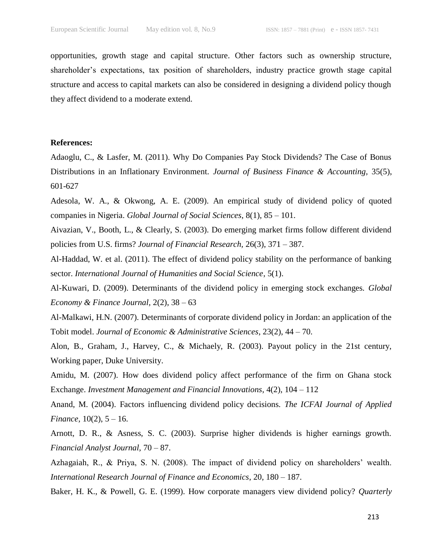opportunities, growth stage and capital structure. Other factors such as ownership structure, shareholder's expectations, tax position of shareholders, industry practice growth stage capital structure and access to capital markets can also be considered in designing a dividend policy though they affect dividend to a moderate extend.

#### **References:**

Adaoglu, C., & Lasfer, M. (2011). Why Do Companies Pay Stock Dividends? The Case of Bonus Distributions in an Inflationary Environment. *Journal of Business Finance & Accounting,* 35(5), 601-627

Adesola, W. A., & Okwong, A. E. (2009). An empirical study of dividend policy of quoted companies in Nigeria. *Global Journal of Social Sciences*, 8(1), 85 – 101.

Aivazian, V., Booth, L., & Clearly, S. (2003). Do emerging market firms follow different dividend policies from U.S. firms? *Journal of Financial Research,* 26(3), 371 – 387.

Al-Haddad, W. et al. (2011). The effect of dividend policy stability on the performance of banking sector. *International Journal of Humanities and Social Science*, 5(1).

Al-Kuwari, D. (2009). Determinants of the dividend policy in emerging stock exchanges. *Global Economy & Finance Journal,* 2(2), 38 – 63

Al-Malkawi, H.N. (2007). Determinants of corporate dividend policy in Jordan: an application of the Tobit model. *Journal of Economic & Administrative Sciences*, 23(2), 44 – 70.

Alon, B., Graham, J., Harvey, C., & Michaely, R. (2003). Payout policy in the 21st century, Working paper, Duke University.

Amidu, M. (2007). How does dividend policy affect performance of the firm on Ghana stock Exchange. *Investment Management and Financial Innovations*, 4(2), 104 – 112

Anand, M. (2004). Factors influencing dividend policy decisions. *The ICFAI Journal of Applied Finance*,  $10(2)$ ,  $5 - 16$ .

Arnott, D. R., & Asness, S. C. (2003). Surprise higher dividends is higher earnings growth. *Financial Analyst Journal,* 70 – 87.

Azhagaiah, R., & Priya, S. N. (2008). The impact of dividend policy on shareholders' wealth. *International Research Journal of Finance and Economics*, 20, 180 – 187.

Baker, H. K., & Powell, G. E. (1999). How corporate managers view dividend policy? *Quarterly*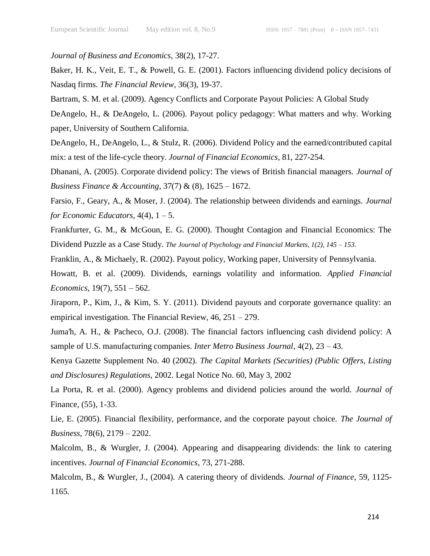*Journal of Business and Economics*, 38(2), 17-27.

Baker, H. K., Veit, E. T., & Powell, G. E. (2001). Factors influencing dividend policy decisions of Nasdaq firms. *The Financial Review*, 36(3), 19-37.

Bartram, S. M. et al. (2009). Agency Conflicts and Corporate Payout Policies: A Global Study

DeAngelo, H., & DeAngelo, L. (2006). Payout policy pedagogy: What matters and why. Working paper, University of Southern California.

DeAngelo, H., DeAngelo, L., & Stulz, R. (2006). Dividend Policy and the earned/contributed capital mix: a test of the life-cycle theory. *Journal of Financial Economics*, 81, 227-254.

Dhanani, A. (2005). Corporate dividend policy: The views of British financial managers. *Journal of Business Finance & Accounting*, 37(7) & (8), 1625 – 1672.

Farsio, F., Geary, A., & Moser, J. (2004). The relationship between dividends and earnings. *Journal for Economic Educators*,  $4(4)$ ,  $1 - 5$ .

Frankfurter, G. M., & McGoun, E. G. (2000). Thought Contagion and Financial Economics: The Dividend Puzzle as a Case Study. *The Journal of Psychology and Financial Markets, 1(2), 145 – 153.*

Franklin, A., & Michaely, R. (2002). Payout policy, Working paper, University of Pennsylvania.

Howatt, B. et al. (2009). Dividends, earnings volatility and information. *Applied Financial Economics*, 19(7), 551 – 562.

Jiraporn, P., Kim, J., & Kim, S. Y. (2011). Dividend payouts and corporate governance quality: an empirical investigation. The Financial Review, 46, 251 – 279.

Juma'h, A. H., & Pacheco, O.J. (2008). The financial factors influencing cash dividend policy: A sample of U.S. manufacturing companies. *Inter Metro Business Journal*, 4(2), 23 – 43.

Kenya Gazette Supplement No. 40 (2002). *The Capital Markets (Securities) (Public Offers, Listing and Disclosures) Regulations*, 2002. Legal Notice No. 60, May 3, 2002

La Porta, R. et al. (2000). Agency problems and dividend policies around the world. *Journal of*  Finance, (55), 1-33.

Lie, E. (2005). Financial flexibility, performance, and the corporate payout choice. *The Journal of Business*, 78(6), 2179 – 2202.

Malcolm, B., & Wurgler, J. (2004). Appearing and disappearing dividends: the link to catering incentives. *Journal of Financial Economics*, 73, 271-288.

Malcolm, B., & Wurgler, J., (2004). A catering theory of dividends. *Journal of Finance*, 59, 1125- 1165.